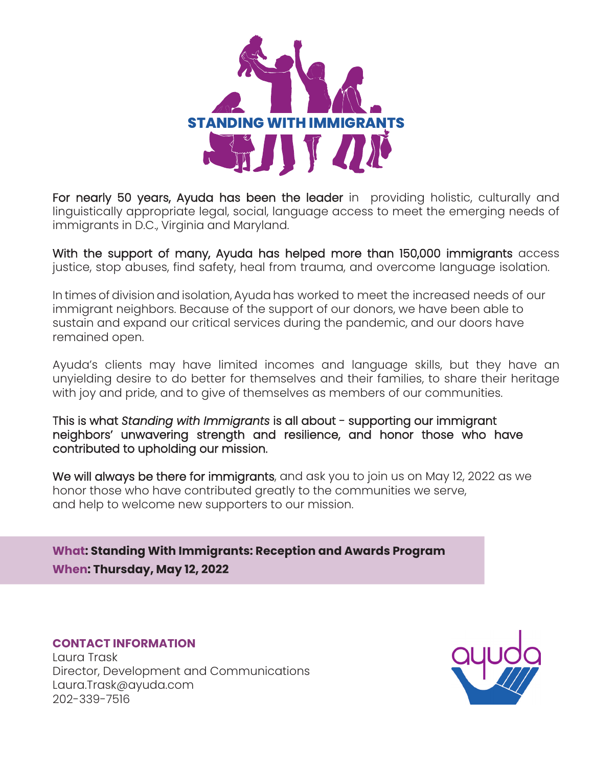

For nearly 50 years, Ayuda has been the leader in providing holistic, culturally and linguistically appropriate legal, social, language access to meet the emerging needs of immigrants in D.C., Virginia and Maryland.

With the support of many, Ayuda has helped more than 150,000 immigrants access justice, stop abuses, find safety, heal from trauma, and overcome language isolation.

In times of division and isolation, Ayuda has worked to meet the increased needs of our immigrant neighbors. Because of the support of our donors, we have been able to sustain and expand our critical services during the pandemic, and our doors have remained open.

Ayuda's clients may have limited incomes and language skills, but they have an unyielding desire to do better for themselves and their families, to share their heritage with joy and pride, and to give of themselves as members of our communities.

This is what *Standing with Immigrants* is all about - supporting our immigrant neighbors' unwavering strength and resilience, and honor those who have contributed to upholding our mission.

We will always be there for immigrants, and ask you to join us on May 12, 2022 as we honor those who have contributed greatly to the communities we serve, and help to welcome new supporters to our mission.

**What: Standing With Immigrants: Reception and Awards Program When: Thursday, May 12, 2022**

#### **CONTACT INFORMATION**

Laura Trask Director, Development and Communications Laura.Trask@ayuda.com 202-339-7516

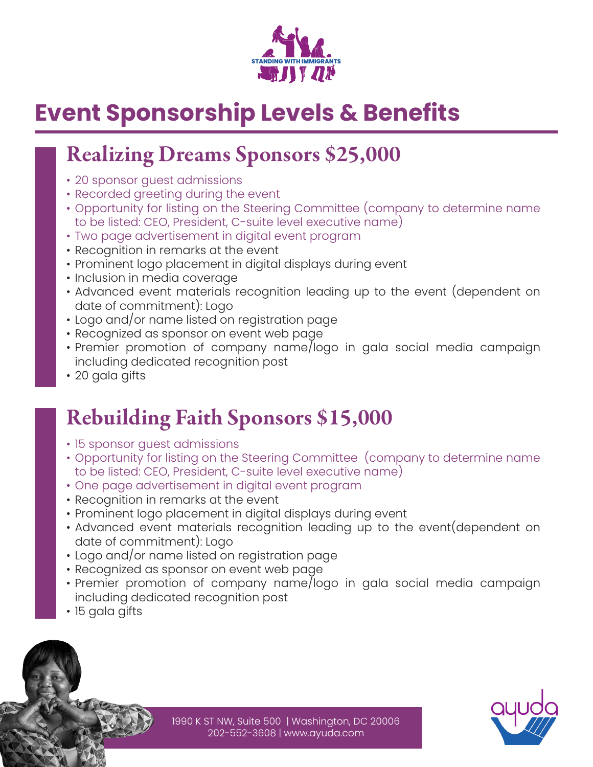

# **Event Sponsorship Levels & Benefits**

## Realizing Dreams Sponsors \$25,000

- 20 sponsor guest admissions
- Recorded greeting during the event
- Opportunity for listing on the Steering Committee (company to determine name to be listed: CEO, President, C-suite level executive name)
- Two page advertisement in digital event program
- Recognition in remarks at the event
- Prominent logo placement in digital displays during event
- Inclusion in media coverage
- Advanced event materials recognition leading up to the event (dependent on date of commitment): Logo
- Logo and/or name listed on registration page
- Recognized as sponsor on event web page
- Premier promotion of company name/logo in gala social media campaign including dedicated recognition post
- 20 gala gifts

# Rebuilding Faith Sponsors \$15,000

- 15 sponsor guest admissions
- Opportunity for listing on the Steering Committee (company to determine name to be listed: CEO, President, C-suite level executive name)
- One page advertisement in digital event program
- Recognition in remarks at the event
- Prominent logo placement in digital displays during event
- Advanced event materials recognition leading up to the event(dependent on date of commitment): Logo
- Logo and/or name listed on registration page
- Recognized as sponsor on event web page
- Premier promotion of company name/logo in gala social media campaign including dedicated recognition post
- 15 gala gifts

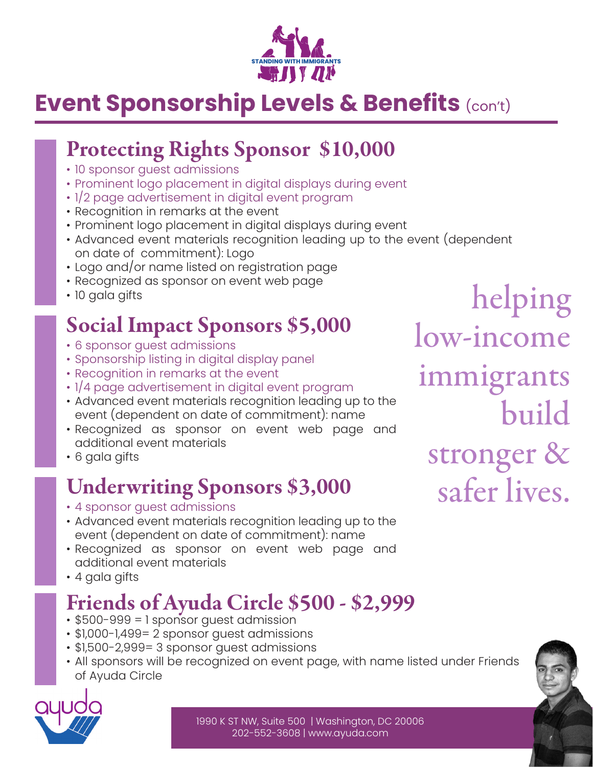

# **Event Sponsorship Levels & Benefits** (con't)

## Protecting Rights Sponsor \$10,000

- 10 sponsor guest admissions
- Prominent logo placement in digital displays during event
- 1/2 page advertisement in digital event program
- Recognition in remarks at the event
- Prominent logo placement in digital displays during event
- Advanced event materials recognition leading up to the event (dependent on date of commitment): Logo
- Logo and/or name listed on registration page
- Recognized as sponsor on event web page
- 10 gala gifts

### Social Impact Sponsors \$5,000

- 6 sponsor guest admissions
- Sponsorship listing in digital display panel
- Recognition in remarks at the event
- 1/4 page advertisement in digital event program
- Advanced event materials recognition leading up to the event (dependent on date of commitment): name
- Recognized as sponsor on event web page and additional event materials
- 6 gala gifts

## Underwriting Sponsors \$3,000

- 4 sponsor guest admissions
- Advanced event materials recognition leading up to the event (dependent on date of commitment): name
- Recognized as sponsor on event web page and additional event materials
- 4 gala gifts

### Friends of Ayuda Circle \$500 - \$2,999

- \$500-999 = 1 sponsor guest admission
- \$1,000-1,499= 2 sponsor guest admissions
- \$1,500-2,999= 3 sponsor guest admissions
- All sponsors will be recognized on event page, with name listed under Friends of Ayuda Circle



helping low-income immigrants build stronger & safer lives.

1990 K ST NW, Suite 500 | Washington, DC 20006 202-552-3608 | www.ayuda.com